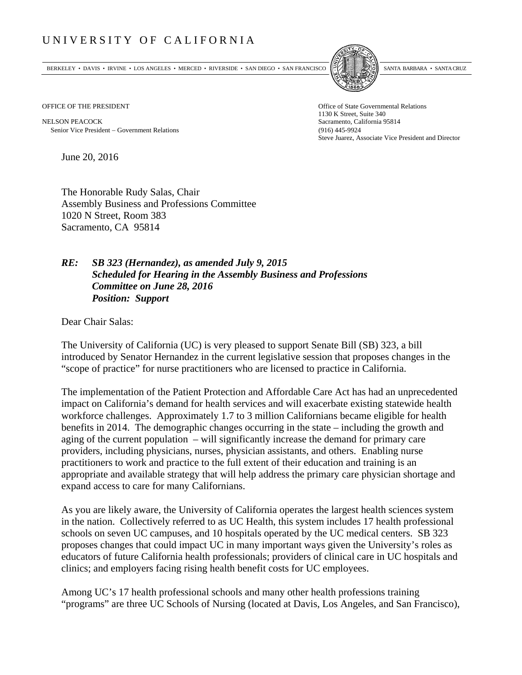## UNIVERSITY OF CALIFORNIA

BERKELEY • DAVIS • IRVINE • LOS ANGELES • MERCED • RIVERSIDE • SAN DIEGO • SAN FRANCISCO SANTA BARBARA • SANTA CRUZ



OFFICE OF THE PRESIDENT STATES OF THE PRESIDENT

NELSON PEACOCK Sacramento, California 95814 Senior Vice President Government Relations (916) 445-9924

1130 K Street, Suite 340 Steve Juarez, Associate Vice President and Director

June 20, 2016

The Honorable Rudy Salas, Chair Assembly Business and Professions Committee 1020 N Street, Room 383 Sacramento, CA 95814

## *RE: SB 323 (Hernandez), as amended July 9, 2015 Scheduled for Hearing in the Assembly Business and Professions Committee on June 28, 2016 Position: Support*

Dear Chair Salas:

The University of California (UC) is very pleased to support Senate Bill (SB) 323, a bill introduced by Senator Hernandez in the current legislative session that proposes changes in the "scope of practice" for nurse practitioners who are licensed to practice in California.

The implementation of the Patient Protection and Affordable Care Act has had an unprecedented impact on California's demand for health services and will exacerbate existing statewide health workforce challenges. Approximately 1.7 to 3 million Californians became eligible for health benefits in 2014. The demographic changes occurring in the state – including the growth and aging of the current population – will significantly increase the demand for primary care providers, including physicians, nurses, physician assistants, and others. Enabling nurse practitioners to work and practice to the full extent of their education and training is an appropriate and available strategy that will help address the primary care physician shortage and expand access to care for many Californians.

As you are likely aware, the University of California operates the largest health sciences system in the nation. Collectively referred to as UC Health, this system includes 17 health professional schools on seven UC campuses, and 10 hospitals operated by the UC medical centers. SB 323 proposes changes that could impact UC in many important ways given the University's roles as educators of future California health professionals; providers of clinical care in UC hospitals and clinics; and employers facing rising health benefit costs for UC employees.

Among UC's 17 health professional schools and many other health professions training "programs" are three UC Schools of Nursing (located at Davis, Los Angeles, and San Francisco),